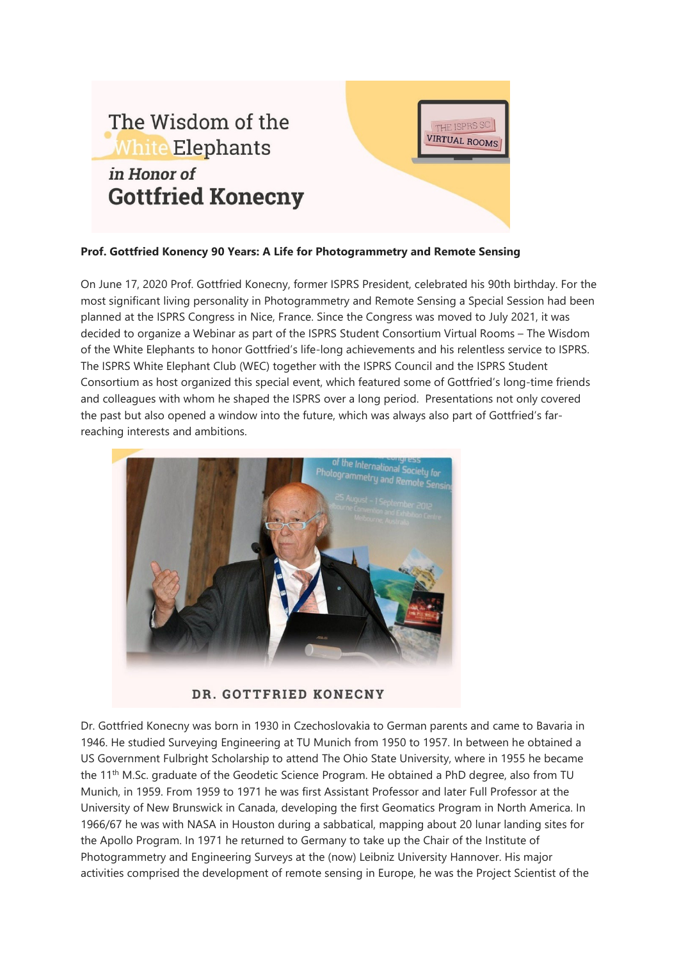

## **Prof. Gottfried Konency 90 Years: A Life for Photogrammetry and Remote Sensing**

On June 17, 2020 Prof. Gottfried Konecny, former ISPRS President, celebrated his 90th birthday. For the most significant living personality in Photogrammetry and Remote Sensing a Special Session had been planned at the ISPRS Congress in Nice, France. Since the Congress was moved to July 2021, it was decided to organize a Webinar as part of the ISPRS Student Consortium Virtual Rooms – The Wisdom of the White Elephants to honor Gottfried's life-long achievements and his relentless service to ISPRS. The ISPRS White Elephant Club (WEC) together with the ISPRS Council and the ISPRS Student Consortium as host organized this special event, which featured some of Gottfried's long-time friends and colleagues with whom he shaped the ISPRS over a long period. Presentations not only covered the past but also opened a window into the future, which was always also part of Gottfried's farreaching interests and ambitions.



DR. GOTTFRIED KONECNY

Dr. Gottfried Konecny was born in 1930 in Czechoslovakia to German parents and came to Bavaria in 1946. He studied Surveying Engineering at TU Munich from 1950 to 1957. In between he obtained a US Government Fulbright Scholarship to attend The Ohio State University, where in 1955 he became the 11<sup>th</sup> M.Sc. graduate of the Geodetic Science Program. He obtained a PhD degree, also from TU Munich, in 1959. From 1959 to 1971 he was first Assistant Professor and later Full Professor at the University of New Brunswick in Canada, developing the first Geomatics Program in North America. In 1966/67 he was with NASA in Houston during a sabbatical, mapping about 20 lunar landing sites for the Apollo Program. In 1971 he returned to Germany to take up the Chair of the Institute of Photogrammetry and Engineering Surveys at the (now) Leibniz University Hannover. His major activities comprised the development of remote sensing in Europe, he was the Project Scientist of the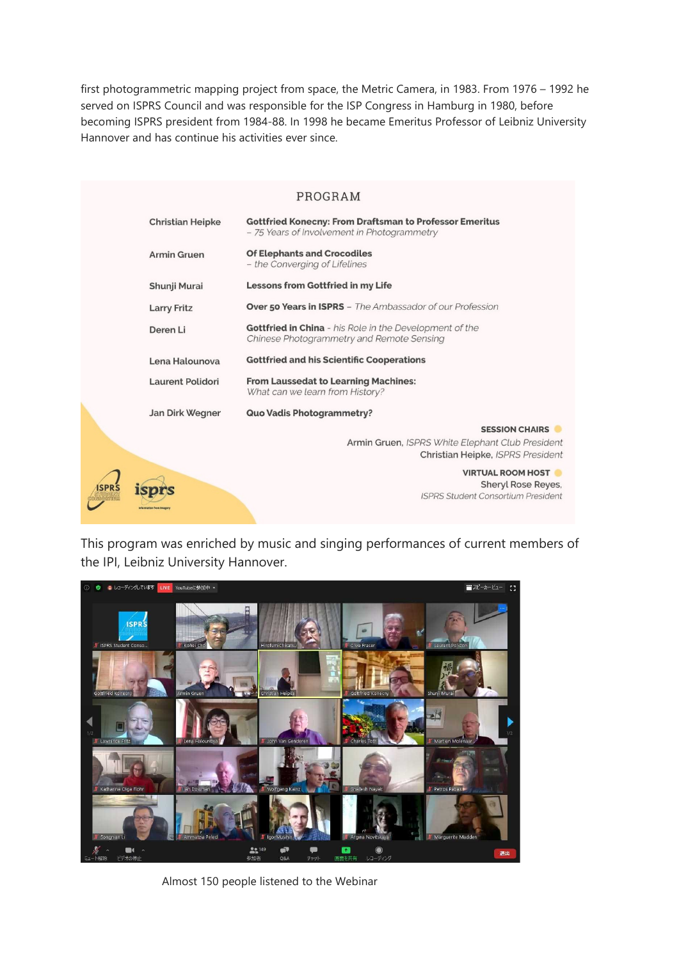first photogrammetric mapping project from space, the Metric Camera, in 1983. From 1976 – 1992 he served on ISPRS Council and was responsible for the ISP Congress in Hamburg in 1980, before becoming ISPRS president from 1984-88. In 1998 he became Emeritus Professor of Leibniz University Hannover and has continue his activities ever since.

|                         | PROGRAM                                                                                                            |
|-------------------------|--------------------------------------------------------------------------------------------------------------------|
| <b>Christian Heipke</b> | <b>Gottfried Konecny: From Draftsman to Professor Emeritus</b><br>- 75 Years of Involvement in Photogrammetry      |
| <b>Armin Gruen</b>      | <b>Of Elephants and Crocodiles</b><br>- the Converging of Lifelines                                                |
| Shunji Murai            | <b>Lessons from Gottfried in my Life</b>                                                                           |
| <b>Larry Fritz</b>      | <b>Over 50 Years in ISPRS</b> – The Ambassador of our Profession                                                   |
| Deren Li                | <b>Gottfried in China</b> - his Role in the Development of the<br><b>Chinese Photogrammetry and Remote Sensing</b> |
| Lena Halounova          | <b>Gottfried and his Scientific Cooperations</b>                                                                   |
| Laurent Polidori        | <b>From Laussedat to Learning Machines:</b><br>What can we learn from History?                                     |
| Jan Dirk Wegner         | Quo Vadis Photogrammetry?                                                                                          |
|                         | <b>SESSION CHAIRS</b><br>Armin Gruen, ISPRS White Elephant Club President<br>Christian Heipke, ISPRS President     |
|                         | <b>VIRTUAL ROOM HOST</b><br><b>Sheryl Rose Reyes,</b><br><b>ISPRS Student Consortium President</b>                 |

This program was enriched by music and singing performances of current members of the IPI, Leibniz University Hannover.



Almost 150 people listened to the Webinar